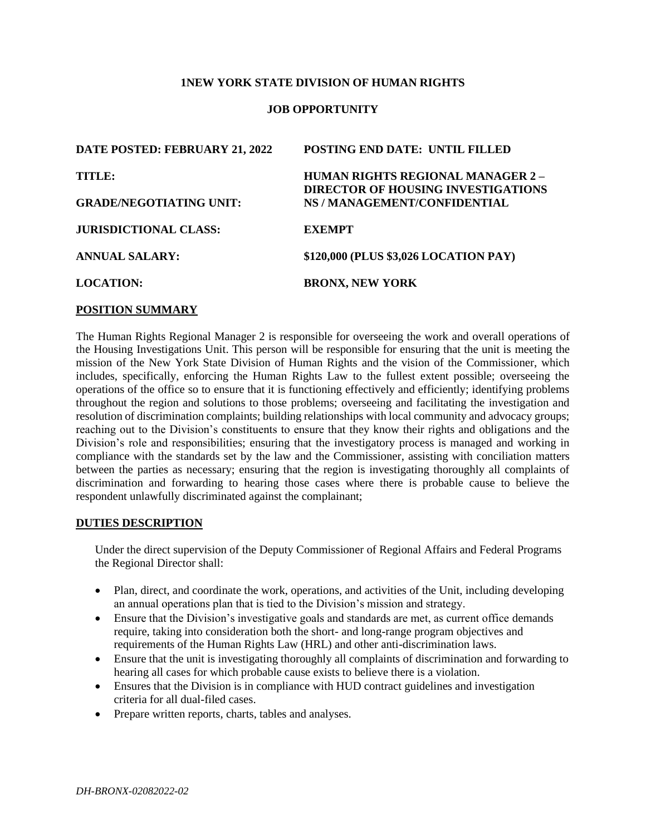### **1NEW YORK STATE DIVISION OF HUMAN RIGHTS**

### **JOB OPPORTUNITY**

| DATE POSTED: FEBRUARY 21, 2022 | <b>POSTING END DATE: UNTIL FILLED</b>                                                 |
|--------------------------------|---------------------------------------------------------------------------------------|
| TITLE:                         | <b>HUMAN RIGHTS REGIONAL MANAGER 2 -</b><br><b>DIRECTOR OF HOUSING INVESTIGATIONS</b> |
| <b>GRADE/NEGOTIATING UNIT:</b> | NS / MANAGEMENT/CONFIDENTIAL                                                          |
|                                |                                                                                       |
| <b>JURISDICTIONAL CLASS:</b>   | <b>EXEMPT</b>                                                                         |
| <b>ANNUAL SALARY:</b>          | \$120,000 (PLUS \$3,026 LOCATION PAY)                                                 |
| <b>LOCATION:</b>               | <b>BRONX, NEW YORK</b>                                                                |
|                                |                                                                                       |

#### **POSITION SUMMARY**

The Human Rights Regional Manager 2 is responsible for overseeing the work and overall operations of the Housing Investigations Unit. This person will be responsible for ensuring that the unit is meeting the mission of the New York State Division of Human Rights and the vision of the Commissioner, which includes, specifically, enforcing the Human Rights Law to the fullest extent possible; overseeing the operations of the office so to ensure that it is functioning effectively and efficiently; identifying problems throughout the region and solutions to those problems; overseeing and facilitating the investigation and resolution of discrimination complaints; building relationships with local community and advocacy groups; reaching out to the Division's constituents to ensure that they know their rights and obligations and the Division's role and responsibilities; ensuring that the investigatory process is managed and working in compliance with the standards set by the law and the Commissioner, assisting with conciliation matters between the parties as necessary; ensuring that the region is investigating thoroughly all complaints of discrimination and forwarding to hearing those cases where there is probable cause to believe the respondent unlawfully discriminated against the complainant;

#### **DUTIES DESCRIPTION**

Under the direct supervision of the Deputy Commissioner of Regional Affairs and Federal Programs the Regional Director shall:

- Plan, direct, and coordinate the work, operations, and activities of the Unit, including developing an annual operations plan that is tied to the Division's mission and strategy.
- Ensure that the Division's investigative goals and standards are met, as current office demands require, taking into consideration both the short- and long-range program objectives and requirements of the Human Rights Law (HRL) and other anti-discrimination laws.
- Ensure that the unit is investigating thoroughly all complaints of discrimination and forwarding to hearing all cases for which probable cause exists to believe there is a violation.
- Ensures that the Division is in compliance with HUD contract guidelines and investigation criteria for all dual-filed cases.
- Prepare written reports, charts, tables and analyses.